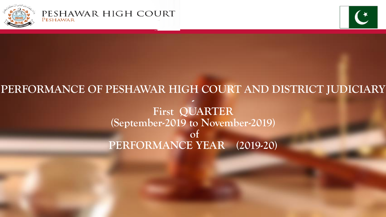



# **PERFORMANCE OF PESHAWAR HIGH COURT AND DISTRICT JUDICIARY - First QUARTER (September-2019 to November-2019) of PERFORMANCE YEAR (2019-20)**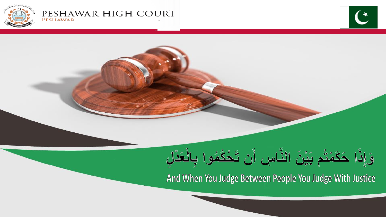

#### PESHAWAR HIGH COURT PESHAWAR



And When You Judge Between People You Judge With Justice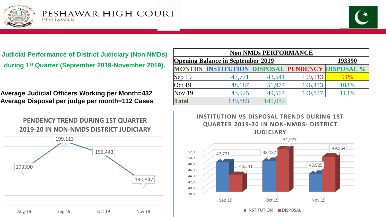



**Judicial Performance of District Judiciary (Non NMDs) during 1st Quarter (September 2019-November 2019).**

**Average Judicial Officers Working per Month=432 Average Disposal per judge per month=112 Cases**





**PENDENCY TREND DURING 1ST QUARTER 2019-20 IN NON-NMDS DISTRICT JUDICIARY**

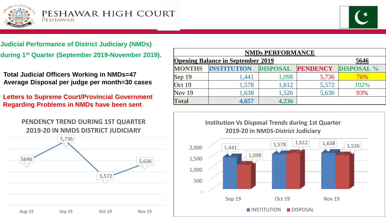



**Judicial Performance of District Judiciary (NMDs) during 1<sup>st</sup> Quarter (September 2019-November 2019).** 

**Total Judicial Officers Working in NMDs=47 Average Disposal per judge per month=30 cases**

**Letters to Supreme Court/Provincial Government Regarding Problems in NMDs have been sent**

5646 5,736 5,572 5,636 Aug-19 Sep 19 Oct 19 Nov 19 **PENDENCY TREND DURING 1ST QUARTER 2019-20 IN NMDS DISTRICT JUDICIARY**

| <b>NMDs PERFORMANCE</b> |                                                  |                 |                 |                   |  |  |  |
|-------------------------|--------------------------------------------------|-----------------|-----------------|-------------------|--|--|--|
|                         | <b>Opening Balance in September 2019</b><br>5646 |                 |                 |                   |  |  |  |
| <b>MONTHS</b>           | <b>INSTITUTION</b>                               | <b>DISPOSAL</b> | <b>PENDENCY</b> | <b>DISPOSAL</b> % |  |  |  |
| $\text{Sep } 19$        | 1,441                                            | 1,098           | 5,736           | 76%               |  |  |  |
| Oct 19                  | 1,578                                            | 1,612           | 5,572           | 102%              |  |  |  |
| Nov $19$                | 1,638                                            | 1,526           | 5,636           | 93%               |  |  |  |
| <b>Total</b>            | 4,657                                            | 4,236           |                 |                   |  |  |  |

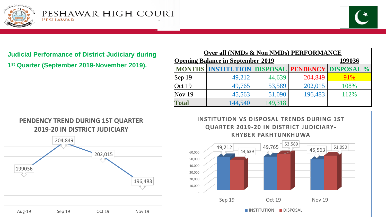



**Judicial Performance of District Judiciary during 1 st Quarter (September 2019-November 2019).**

| OVEL AIL UNIVERS OF FOIL FUNDS) E EXPONSITIVE      |                                                                |         |         |      |  |  |
|----------------------------------------------------|----------------------------------------------------------------|---------|---------|------|--|--|
| <b>Opening Balance in September 2019</b><br>199036 |                                                                |         |         |      |  |  |
|                                                    | <b>MONTHS   INSTITUTION   DISPOSAL   PENDENCY   DISPOSAL %</b> |         |         |      |  |  |
| Sep $19$                                           | 49,212                                                         | 44,639  | 204,849 | 91%  |  |  |
| Oct 19                                             | 49,765                                                         | 53,589  | 202,015 | 108% |  |  |
| <b>Nov 19</b>                                      | 45,563                                                         | 51,090  | 196,483 | 112% |  |  |
| <b>Total</b>                                       | 144,540                                                        | 149,318 |         |      |  |  |

**Over all (NMDs & Non NMDs) PERFORMANCE**

### **PENDENCY TREND DURING 1ST QUARTER 2019-20 IN DISTRICT JUDICIARY**



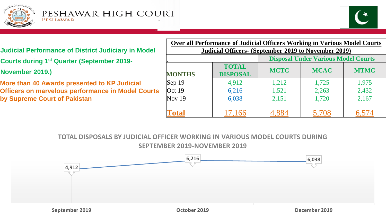



### **Judicial Performance of District Judiciary in Model**

- **Courts during 1st Quarter (September 2019-**
- **November 2019.)**
- **More than 40 Awards presented to KP Judicial Officers on marvelous performance in Model Courts by Supreme Court of Pakistan**

| <b>Over all Performance of Judicial Officers Working in Various Model Courts</b> |                 |                                            |             |             |  |  |
|----------------------------------------------------------------------------------|-----------------|--------------------------------------------|-------------|-------------|--|--|
| Judicial Officers- (September 2019 to November 2019)                             |                 |                                            |             |             |  |  |
|                                                                                  |                 | <b>Disposal Under Various Model Courts</b> |             |             |  |  |
|                                                                                  | <b>TOTAL</b>    | <b>MCTC</b>                                | <b>MCAC</b> | <b>MTMC</b> |  |  |
| <b>MONTHS</b>                                                                    | <b>DISPOSAL</b> |                                            |             |             |  |  |
| $ $ Sep 19                                                                       | 4,912           | 1,212                                      | 1,725       | 1,975       |  |  |
| Oct 19                                                                           | 6,216           | 1,521                                      | 2,263       | 2,432       |  |  |
| Nov $19$                                                                         | 6,038           | 2,151                                      | 1,720       | 2,167       |  |  |
| Total                                                                            | 17,166          |                                            | 5,708       |             |  |  |

**TOTAL DISPOSALS BY JUDICIAL OFFICER WORKING IN VARIOUS MODEL COURTS DURING SEPTEMBER 2019-NOVEMBER 2019**

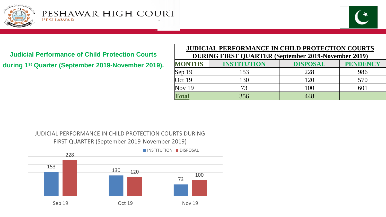



**Judicial Performance of Child Protection Courts during 1st Quarter (September 2019-November 2019).**

|                                                            | <b>JUDICIAL PERFORMANCE IN CHILD PROTECTION COURTS</b> |                 |                 |  |  |  |
|------------------------------------------------------------|--------------------------------------------------------|-----------------|-----------------|--|--|--|
| <b>DURING FIRST QUARTER (September 2019-November 2019)</b> |                                                        |                 |                 |  |  |  |
| <b>MONTHS</b>                                              | <b>INSTITUTION</b>                                     | <b>DISPOSAL</b> | <b>PENDENCY</b> |  |  |  |
| Sep $19$                                                   | 153                                                    | 228             | 986             |  |  |  |
| Oct 19                                                     | 130                                                    | 120             | 570             |  |  |  |
| <b>Nov 19</b>                                              | 73                                                     | 100             | 601             |  |  |  |
| <b>Total</b>                                               | 356                                                    |                 |                 |  |  |  |

#### JUDICIAL PERFORMANCE IN CHILD PROTECTION COURTS DURING FIRST QUARTER (September 2019-November 2019)

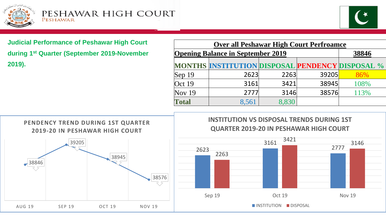



**Judicial Performance of Peshawar High Court during 1st Quarter (September 2019-November 2019).**

| <b>Over all Peshawar High Court Perfroamce</b> |                                                        |       |       |      |  |  |
|------------------------------------------------|--------------------------------------------------------|-------|-------|------|--|--|
| <b>Opening Balance in September 2019</b>       | 38846                                                  |       |       |      |  |  |
|                                                | <b>MONTHS INSTITUTION DISPOSAL PENDENCY DISPOSAL %</b> |       |       |      |  |  |
| $\text{Sep } 19$                               | 2623                                                   | 2263  | 39205 | 86%  |  |  |
| Oct $19$                                       | 3161                                                   | 3421  | 38945 | 108% |  |  |
| Nov $19$                                       | 2777                                                   | 3146  | 38576 | 113% |  |  |
| <b>Total</b>                                   | 8,561                                                  | 8.830 |       |      |  |  |



**INSTITUTION VS DISPOSAL TRENDS DURING 1ST QUARTER 2019-20 IN PESHAWAR HIGH COURT**

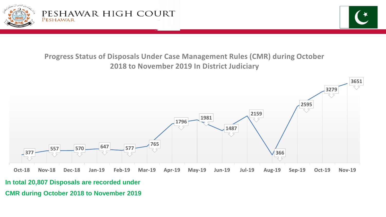

## **Progress Status of Disposals Under Case Management Rules (CMR) during October 2018 to November 2019 In District Judiciary**



**In total 20,807 Disposals are recorded under** 

**CMR during October 2018 to November 2019**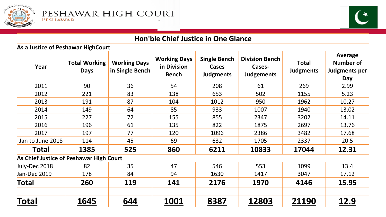



| <b>Hon'ble Chief Justice in One Glance</b> |                                     |                                        |                                                    |                                                  |                                                      |                                  |                                                     |
|--------------------------------------------|-------------------------------------|----------------------------------------|----------------------------------------------------|--------------------------------------------------|------------------------------------------------------|----------------------------------|-----------------------------------------------------|
| As a Justice of Peshawar HighCourt         |                                     |                                        |                                                    |                                                  |                                                      |                                  |                                                     |
| Year                                       | <b>Total Working</b><br><b>Days</b> | <b>Working Days</b><br>in Single Bench | <b>Working Days</b><br>in Division<br><b>Bench</b> | <b>Single Bench</b><br>Cases<br><b>Judgments</b> | <b>Division Bench</b><br>Cases-<br><b>Judgements</b> | <b>Total</b><br><b>Judgments</b> | Average<br><b>Number of</b><br>Judgments per<br>Day |
| 2011                                       | 90                                  | 36                                     | 54                                                 | 208                                              | 61                                                   | 269                              | 2.99                                                |
| 2012                                       | 221                                 | 83                                     | 138                                                | 653                                              | 502                                                  | 1155                             | 5.23                                                |
| 2013                                       | 191                                 | 87                                     | 104                                                | 1012                                             | 950                                                  | 1962                             | 10.27                                               |
| 2014                                       | 149                                 | 64                                     | 85                                                 | 933                                              | 1007                                                 | 1940                             | 13.02                                               |
| 2015                                       | 227                                 | 72                                     | 155                                                | 855                                              | 2347                                                 | 3202                             | 14.11                                               |
| 2016                                       | 196                                 | 61                                     | 135                                                | 822                                              | 1875                                                 | 2697                             | 13.76                                               |
| 2017                                       | 197                                 | 77                                     | 120                                                | 1096                                             | 2386                                                 | 3482                             | 17.68                                               |
| Jan to June 2018                           | 114                                 | 45                                     | 69                                                 | 632                                              | 1705                                                 | 2337                             | 20.5                                                |
| <b>Total</b>                               | 1385                                | 525                                    | 860                                                | 6211                                             | 10833                                                | 17044                            | 12.31                                               |
| As Chief Justice of Peshawar High Court    |                                     |                                        |                                                    |                                                  |                                                      |                                  |                                                     |
| July-Dec 2018                              | 82                                  | 35                                     | 47                                                 | 546                                              | 553                                                  | 1099                             | 13.4                                                |
| Jan-Dec 2019                               | 178                                 | 84                                     | 94                                                 | 1630                                             | 1417                                                 | 3047                             | 17.12                                               |
| Total                                      | 260                                 | 119                                    | 141                                                | 2176                                             | 1970                                                 | 4146                             | 15.95                                               |
| Total                                      | 1645                                | 644                                    | 1001                                               | 8387                                             | 12803                                                | 21190                            | 12.9                                                |